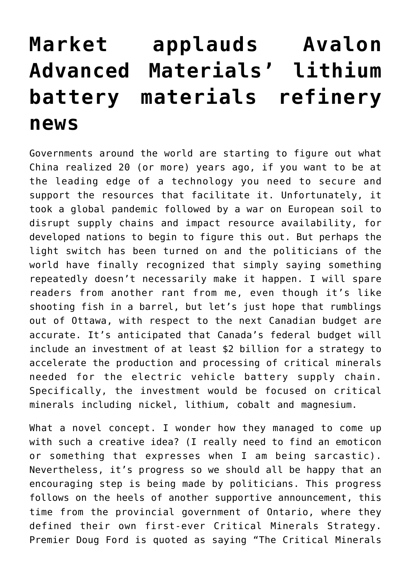## **[Market applauds Avalon](https://investorintel.com/markets/technology-metals/technology-metals-intel/market-applauds-avalon-advanced-materials-lithium-battery-materials-refinery-news/) [Advanced Materials' lithium](https://investorintel.com/markets/technology-metals/technology-metals-intel/market-applauds-avalon-advanced-materials-lithium-battery-materials-refinery-news/) [battery materials refinery](https://investorintel.com/markets/technology-metals/technology-metals-intel/market-applauds-avalon-advanced-materials-lithium-battery-materials-refinery-news/) [news](https://investorintel.com/markets/technology-metals/technology-metals-intel/market-applauds-avalon-advanced-materials-lithium-battery-materials-refinery-news/)**

Governments around the world are starting to figure out what China realized 20 (or more) years ago, if you want to be at the leading edge of a technology you need to secure and support the resources that facilitate it. Unfortunately, it took a global pandemic followed by a war on European soil to disrupt supply chains and impact resource availability, for developed nations to begin to figure this out. But perhaps the light switch has been turned on and the politicians of the world have finally recognized that simply saying something repeatedly doesn't necessarily make it happen. I will spare readers from another rant from me, even though it's like shooting fish in a barrel, but let's just hope that rumblings out of Ottawa, with respect to the next Canadian budget are accurate. It's anticipated that Canada's federal budget will include [an investment of at least \\$2 billion](https://nationalpost.com/news/politics/canada-to-spend-2b-on-mineral-strategy-for-ev-battery-supply-chain) for a strategy to accelerate the production and processing of critical minerals needed for the electric vehicle battery supply chain. Specifically, the investment would be focused on critical minerals including nickel, lithium, cobalt and magnesium.

What a novel concept. I wonder how they managed to come up with such a creative idea? (I really need to find an emoticon or something that expresses when I am being sarcastic). Nevertheless, it's progress so we should all be happy that an encouraging step is being made by politicians. This progress follows on the heels of another supportive announcement, this time from the provincial government of Ontario, where they defined their own first-ever [Critical Minerals Strategy.](https://news.ontario.ca/en/release/1001796/provinces-first-ever-critical-minerals-strategy-positions-ontario-as-global-leader) Premier Doug Ford is quoted as saying "The Critical Minerals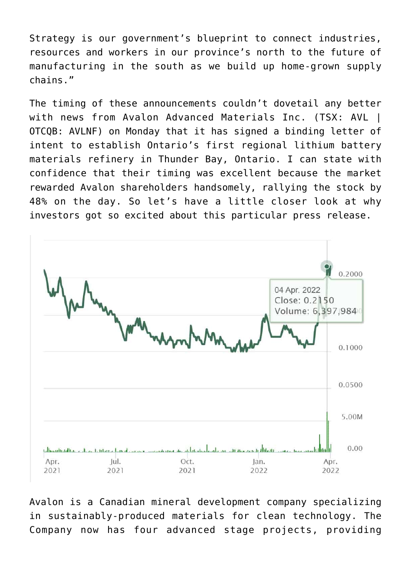Strategy is our government's blueprint to connect industries, resources and workers in our province's north to the future of manufacturing in the south as we build up home-grown supply chains."

The timing of these announcements couldn't dovetail any better with news from [Avalon Advanced Materials Inc.](https://www.avalonadvancedmaterials.com/) (TSX: AVL I OTCQB: AVLNF) on Monday that it has signed a binding [letter of](https://investorintel.com/markets/technology-metals/technology-metals-news/avalon-announces-partnership-agreement-to-establish-ontarios-first-regional-lithium-battery-materials-refinery-in-thunder-bay/) [intent](https://investorintel.com/markets/technology-metals/technology-metals-news/avalon-announces-partnership-agreement-to-establish-ontarios-first-regional-lithium-battery-materials-refinery-in-thunder-bay/) to establish Ontario's first regional lithium battery materials refinery in Thunder Bay, Ontario. I can state with confidence that their timing was excellent because the market rewarded Avalon shareholders handsomely, rallying the stock by 48% on the day. So let's have a little closer look at why investors got so excited about this particular press release.



Avalon is a Canadian mineral development company specializing in sustainably-produced materials for clean technology. The Company now has four advanced stage projects, providing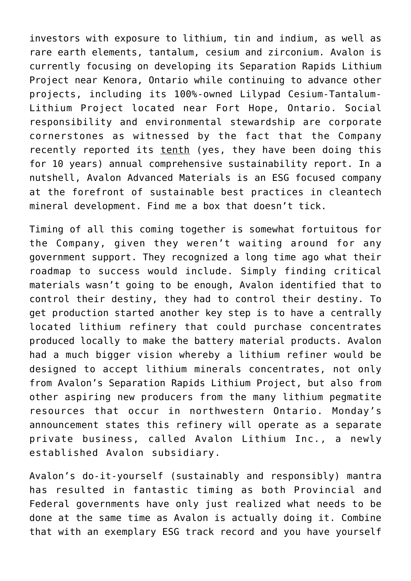investors with exposure to lithium, tin and indium, as well as rare earth elements, tantalum, cesium and zirconium. Avalon is currently focusing on developing its [Separation Rapids Lithium](https://www.avalonadvancedmaterials.com/projects/separation_rapids/) [Project](https://www.avalonadvancedmaterials.com/projects/separation_rapids/) near Kenora, Ontario while continuing to advance other projects, including its 100%-owned [Lilypad Cesium-Tantalum-](https://www.avalonadvancedmaterials.com/projects/lilypad/)[Lithium Project](https://www.avalonadvancedmaterials.com/projects/lilypad/) located near Fort Hope, Ontario. Social responsibility and environmental stewardship are corporate cornerstones as witnessed by the fact that the Company recently reported its tenth (yes, they have been doing this for 10 years) annual comprehensive [sustainability report](https://investorintel.com/markets/technology-metals/technology-metals-news/avalon-publishes-tenth-annual-sustainability-report-and-provides-update-on-separation-rapids-lithium-project-activities/). In a nutshell, Avalon Advanced Materials is an ESG focused company at the forefront of sustainable best practices in cleantech mineral development. Find me a box that doesn't tick.

Timing of all this coming together is somewhat fortuitous for the Company, given they weren't waiting around for any government support. They recognized a long time ago what their roadmap to success would include. Simply finding critical materials wasn't going to be enough, Avalon identified that to control their destiny, they had to control their destiny. To get production started another key step is to have a centrally located lithium refinery that could purchase concentrates produced locally to make the battery material products. Avalon had a much bigger vision whereby a lithium refiner would be designed to accept lithium minerals concentrates, not only from Avalon's Separation Rapids Lithium Project, but also from other aspiring new producers from the many lithium pegmatite resources that occur in northwestern Ontario. Monday's announcement states this refinery will operate as a separate private business, called Avalon Lithium Inc., a newly established Avalon subsidiary.

Avalon's do-it-yourself (sustainably and responsibly) mantra has resulted in fantastic timing as both Provincial and Federal governments have only just realized what needs to be done at the same time as Avalon is actually doing it. Combine that with an exemplary ESG track record and you have yourself